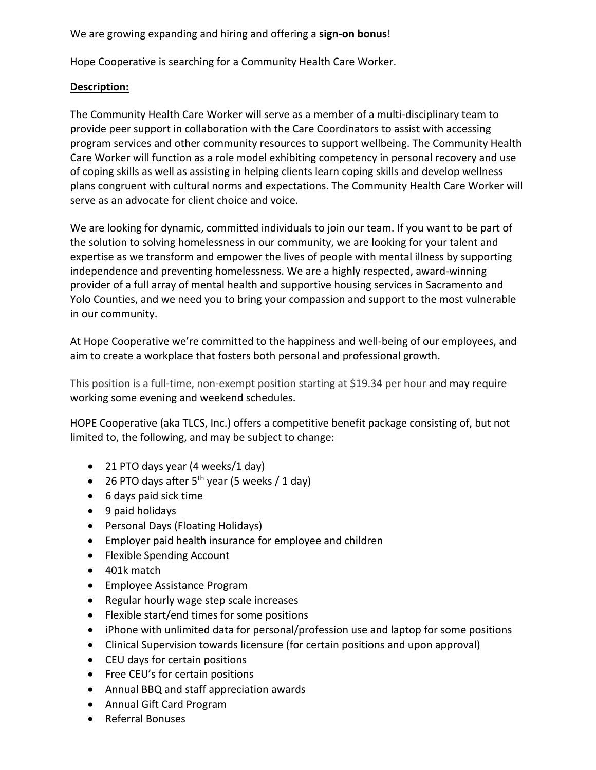We are growing expanding and hiring and offering a **sign-on bonus**!

Hope Cooperative is searching for a Community Health Care Worker.

## **Description:**

The Community Health Care Worker will serve as a member of a multi-disciplinary team to provide peer support in collaboration with the Care Coordinators to assist with accessing program services and other community resources to support wellbeing. The Community Health Care Worker will function as a role model exhibiting competency in personal recovery and use of coping skills as well as assisting in helping clients learn coping skills and develop wellness plans congruent with cultural norms and expectations. The Community Health Care Worker will serve as an advocate for client choice and voice.

We are looking for dynamic, committed individuals to join our team. If you want to be part of the solution to solving homelessness in our community, we are looking for your talent and expertise as we transform and empower the lives of people with mental illness by supporting independence and preventing homelessness. We are a highly respected, award-winning provider of a full array of mental health and supportive housing services in Sacramento and Yolo Counties, and we need you to bring your compassion and support to the most vulnerable in our community.

At Hope Cooperative we're committed to the happiness and well-being of our employees, and aim to create a workplace that fosters both personal and professional growth.

This position is a full-time, non-exempt position starting at \$19.34 per hour and may require working some evening and weekend schedules.

HOPE Cooperative (aka TLCS, Inc.) offers a competitive benefit package consisting of, but not limited to, the following, and may be subject to change:

- 21 PTO days year (4 weeks/1 day)
- 26 PTO days after  $5<sup>th</sup>$  year (5 weeks / 1 day)
- 6 days paid sick time
- 9 paid holidays
- Personal Days (Floating Holidays)
- Employer paid health insurance for employee and children
- Flexible Spending Account
- 401k match
- Employee Assistance Program
- Regular hourly wage step scale increases
- Flexible start/end times for some positions
- iPhone with unlimited data for personal/profession use and laptop for some positions
- Clinical Supervision towards licensure (for certain positions and upon approval)
- CEU days for certain positions
- Free CEU's for certain positions
- Annual BBQ and staff appreciation awards
- Annual Gift Card Program
- Referral Bonuses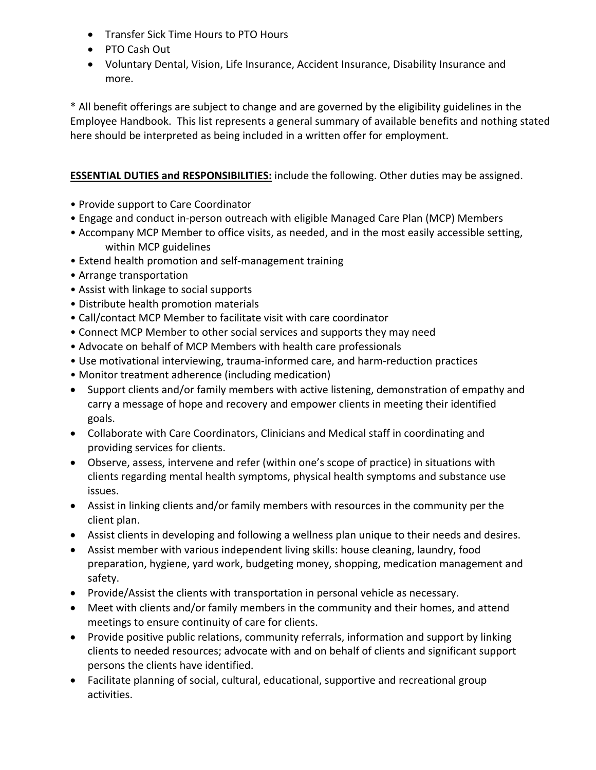- Transfer Sick Time Hours to PTO Hours
- PTO Cash Out
- Voluntary Dental, Vision, Life Insurance, Accident Insurance, Disability Insurance and more.

\* All benefit offerings are subject to change and are governed by the eligibility guidelines in the Employee Handbook. This list represents a general summary of available benefits and nothing stated here should be interpreted as being included in a written offer for employment.

**ESSENTIAL DUTIES and RESPONSIBILITIES:** include the following. Other duties may be assigned.

- Provide support to Care Coordinator
- Engage and conduct in-person outreach with eligible Managed Care Plan (MCP) Members
- Accompany MCP Member to office visits, as needed, and in the most easily accessible setting, within MCP guidelines
- Extend health promotion and self-management training
- Arrange transportation
- Assist with linkage to social supports
- Distribute health promotion materials
- Call/contact MCP Member to facilitate visit with care coordinator
- Connect MCP Member to other social services and supports they may need
- Advocate on behalf of MCP Members with health care professionals
- Use motivational interviewing, trauma-informed care, and harm-reduction practices
- Monitor treatment adherence (including medication)
- Support clients and/or family members with active listening, demonstration of empathy and carry a message of hope and recovery and empower clients in meeting their identified goals.
- Collaborate with Care Coordinators, Clinicians and Medical staff in coordinating and providing services for clients.
- Observe, assess, intervene and refer (within one's scope of practice) in situations with clients regarding mental health symptoms, physical health symptoms and substance use issues.
- Assist in linking clients and/or family members with resources in the community per the client plan.
- Assist clients in developing and following a wellness plan unique to their needs and desires.
- Assist member with various independent living skills: house cleaning, laundry, food preparation, hygiene, yard work, budgeting money, shopping, medication management and safety.
- Provide/Assist the clients with transportation in personal vehicle as necessary.
- Meet with clients and/or family members in the community and their homes, and attend meetings to ensure continuity of care for clients.
- Provide positive public relations, community referrals, information and support by linking clients to needed resources; advocate with and on behalf of clients and significant support persons the clients have identified.
- Facilitate planning of social, cultural, educational, supportive and recreational group activities.